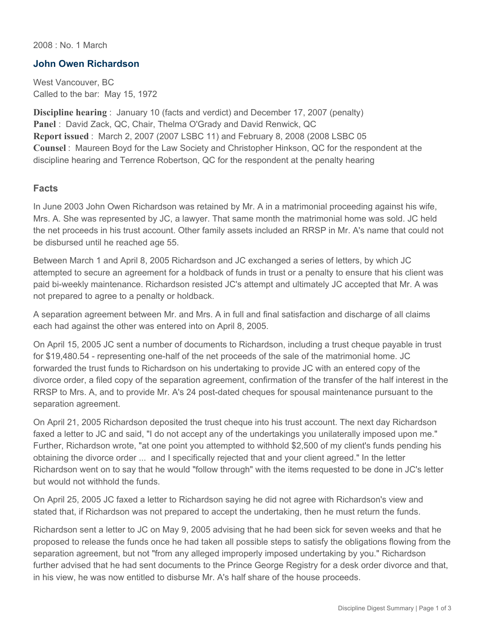2008 : No. 1 March

## **John Owen Richardson**

West Vancouver, BC Called to the bar: May 15, 1972

**Discipline hearing** : January 10 (facts and verdict) and December 17, 2007 (penalty) **Panel** : David Zack, QC, Chair, Thelma O'Grady and David Renwick, QC **Report issued** : March 2, 2007 (2007 LSBC 11) and February 8, 2008 (2008 LSBC 05 **Counsel** : Maureen Boyd for the Law Society and Christopher Hinkson, QC for the respondent at the discipline hearing and Terrence Robertson, QC for the respondent at the penalty hearing

## **Facts**

In June 2003 John Owen Richardson was retained by Mr. A in a matrimonial proceeding against his wife, Mrs. A. She was represented by JC, a lawyer. That same month the matrimonial home was sold. JC held the net proceeds in his trust account. Other family assets included an RRSP in Mr. A's name that could not be disbursed until he reached age 55.

Between March 1 and April 8, 2005 Richardson and JC exchanged a series of letters, by which JC attempted to secure an agreement for a holdback of funds in trust or a penalty to ensure that his client was paid bi-weekly maintenance. Richardson resisted JC's attempt and ultimately JC accepted that Mr. A was not prepared to agree to a penalty or holdback.

A separation agreement between Mr. and Mrs. A in full and final satisfaction and discharge of all claims each had against the other was entered into on April 8, 2005.

On April 15, 2005 JC sent a number of documents to Richardson, including a trust cheque payable in trust for \$19,480.54 - representing one-half of the net proceeds of the sale of the matrimonial home. JC forwarded the trust funds to Richardson on his undertaking to provide JC with an entered copy of the divorce order, a filed copy of the separation agreement, confirmation of the transfer of the half interest in the RRSP to Mrs. A, and to provide Mr. A's 24 post-dated cheques for spousal maintenance pursuant to the separation agreement.

On April 21, 2005 Richardson deposited the trust cheque into his trust account. The next day Richardson faxed a letter to JC and said, "I do not accept any of the undertakings you unilaterally imposed upon me." Further, Richardson wrote, "at one point you attempted to withhold \$2,500 of my client's funds pending his obtaining the divorce order ... and I specifically rejected that and your client agreed." In the letter Richardson went on to say that he would "follow through" with the items requested to be done in JC's letter but would not withhold the funds.

On April 25, 2005 JC faxed a letter to Richardson saying he did not agree with Richardson's view and stated that, if Richardson was not prepared to accept the undertaking, then he must return the funds.

Richardson sent a letter to JC on May 9, 2005 advising that he had been sick for seven weeks and that he proposed to release the funds once he had taken all possible steps to satisfy the obligations flowing from the separation agreement, but not "from any alleged improperly imposed undertaking by you." Richardson further advised that he had sent documents to the Prince George Registry for a desk order divorce and that, in his view, he was now entitled to disburse Mr. A's half share of the house proceeds.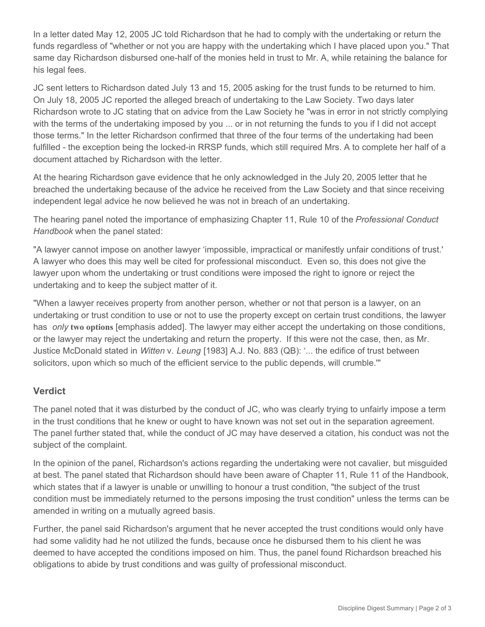In a letter dated May 12, 2005 JC told Richardson that he had to comply with the undertaking or return the funds regardless of "whether or not you are happy with the undertaking which I have placed upon you." That same day Richardson disbursed one-half of the monies held in trust to Mr. A, while retaining the balance for his legal fees.

JC sent letters to Richardson dated July 13 and 15, 2005 asking for the trust funds to be returned to him. On July 18, 2005 JC reported the alleged breach of undertaking to the Law Society. Two days later Richardson wrote to JC stating that on advice from the Law Society he "was in error in not strictly complying with the terms of the undertaking imposed by you ... or in not returning the funds to you if I did not accept those terms." In the letter Richardson confirmed that three of the four terms of the undertaking had been fulfilled - the exception being the locked-in RRSP funds, which still required Mrs. A to complete her half of a document attached by Richardson with the letter.

At the hearing Richardson gave evidence that he only acknowledged in the July 20, 2005 letter that he breached the undertaking because of the advice he received from the Law Society and that since receiving independent legal advice he now believed he was not in breach of an undertaking.

The hearing panel noted the importance of emphasizing Chapter 11, Rule 10 of the *Professional Conduct Handbook* when the panel stated:

"A lawyer cannot impose on another lawyer 'impossible, impractical or manifestly unfair conditions of trust.' A lawyer who does this may well be cited for professional misconduct. Even so, this does not give the lawyer upon whom the undertaking or trust conditions were imposed the right to ignore or reject the undertaking and to keep the subject matter of it.

"When a lawyer receives property from another person, whether or not that person is a lawyer, on an undertaking or trust condition to use or not to use the property except on certain trust conditions, the lawyer has *only* **two options** [emphasis added]. The lawyer may either accept the undertaking on those conditions, or the lawyer may reject the undertaking and return the property. If this were not the case, then, as Mr. Justice McDonald stated in *Witten* v. *Leung* [1983] A.J. No. 883 (QB): '... the edifice of trust between solicitors, upon which so much of the efficient service to the public depends, will crumble.'"

## **Verdict**

The panel noted that it was disturbed by the conduct of JC, who was clearly trying to unfairly impose a term in the trust conditions that he knew or ought to have known was not set out in the separation agreement. The panel further stated that, while the conduct of JC may have deserved a citation, his conduct was not the subject of the complaint.

In the opinion of the panel, Richardson's actions regarding the undertaking were not cavalier, but misguided at best. The panel stated that Richardson should have been aware of Chapter 11, Rule 11 of the Handbook, which states that if a lawyer is unable or unwilling to honour a trust condition, "the subject of the trust condition must be immediately returned to the persons imposing the trust condition" unless the terms can be amended in writing on a mutually agreed basis.

Further, the panel said Richardson's argument that he never accepted the trust conditions would only have had some validity had he not utilized the funds, because once he disbursed them to his client he was deemed to have accepted the conditions imposed on him. Thus, the panel found Richardson breached his obligations to abide by trust conditions and was guilty of professional misconduct.